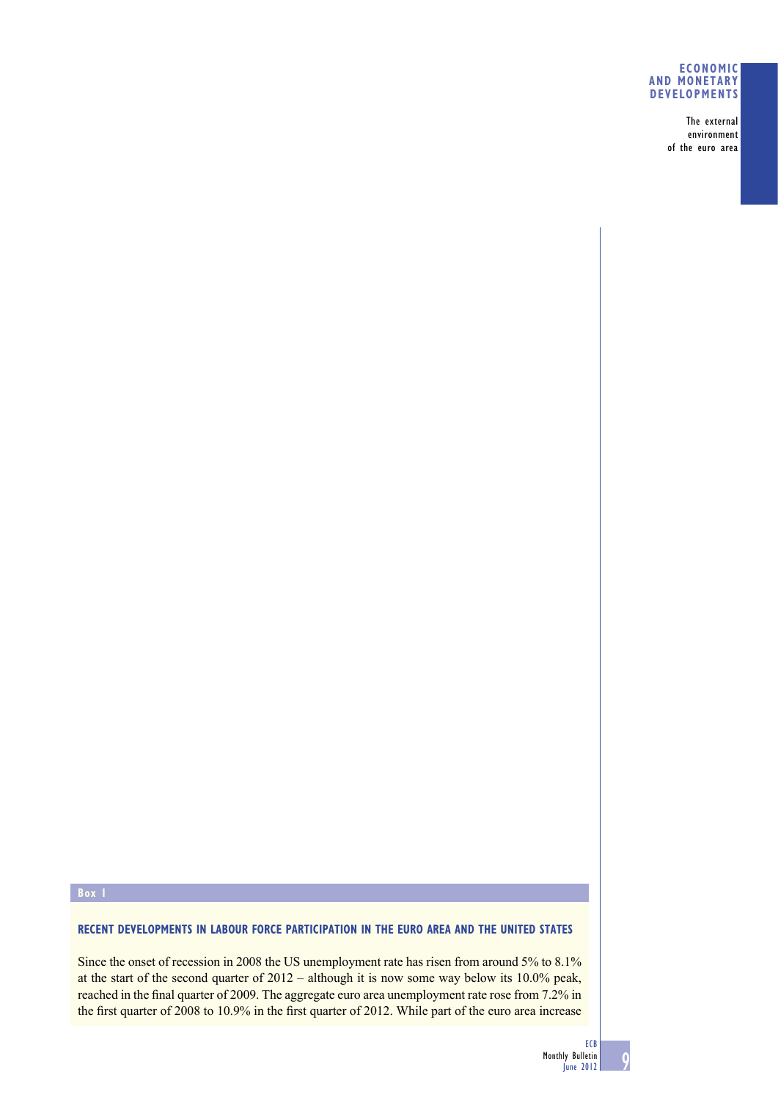### **ECONOMIC AND MONETARY DEVELOPMENTS**

The external environment of the euro area

# **Box 1**

# **RECENT DEVELOPMENTS IN LABOUR FORCE PARTICIPATION IN THE EURO AREA AND THE UNITED STATES**

Since the onset of recession in 2008 the US unemployment rate has risen from around 5% to 8.1% at the start of the second quarter of 2012 – although it is now some way below its 10.0% peak, reached in the final quarter of 2009. The aggregate euro area unemployment rate rose from 7.2% in the first quarter of 2008 to 10.9% in the first quarter of 2012. While part of the euro area increase

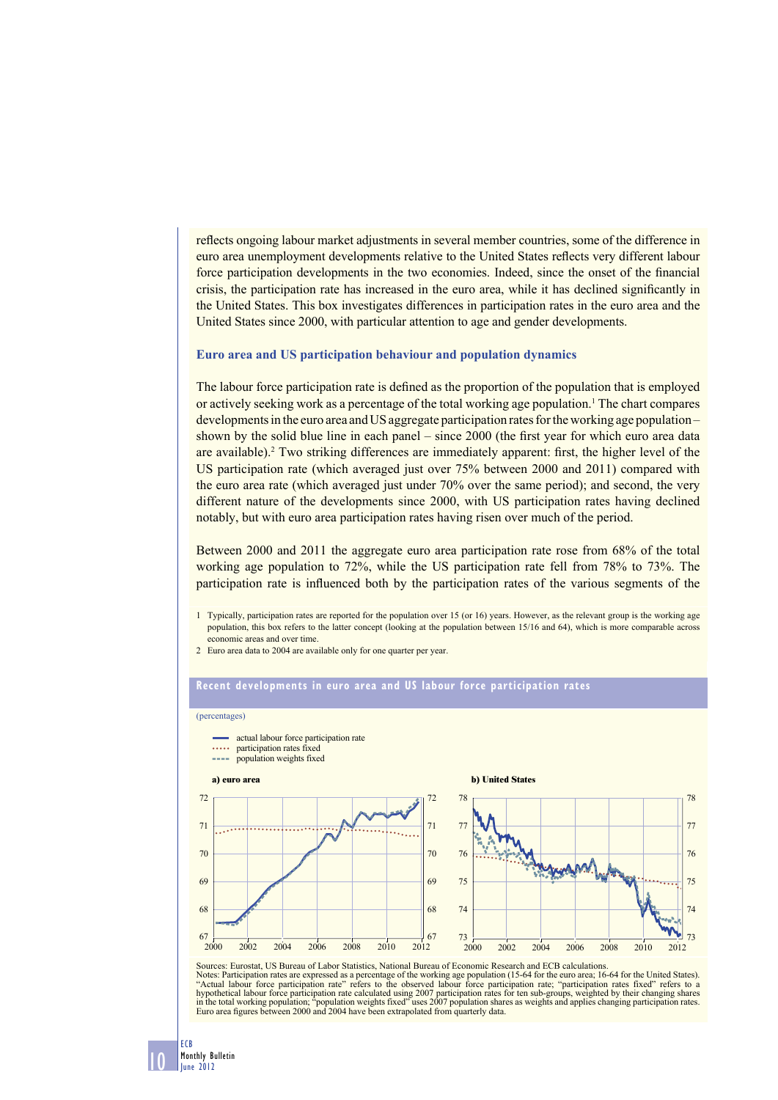reflects ongoing labour market adjustments in several member countries, some of the difference in euro area unemployment developments relative to the United States reflects very different labour force participation developments in the two economies. Indeed, since the onset of the financial crisis, the participation rate has increased in the euro area, while it has declined significantly in the United States. This box investigates differences in participation rates in the euro area and the United States since 2000, with particular attention to age and gender developments.

#### **Euro area and US participation behaviour and population dynamics**

The labour force participation rate is defined as the proportion of the population that is employed or actively seeking work as a percentage of the total working age population.<sup>1</sup> The chart compares developments in the euro area and US aggregate participation rates for the working age population – shown by the solid blue line in each panel – since  $2000$  (the first year for which euro area data are available).<sup>2</sup> Two striking differences are immediately apparent: first, the higher level of the US participation rate (which averaged just over 75% between 2000 and 2011) compared with the euro area rate (which averaged just under 70% over the same period); and second, the very different nature of the developments since 2000, with US participation rates having declined notably, but with euro area participation rates having risen over much of the period.

Between 2000 and 2011 the aggregate euro area participation rate rose from 68% of the total working age population to 72%, while the US participation rate fell from 78% to 73%. The participation rate is influenced both by the participation rates of the various segments of the

1 Typically, participation rates are reported for the population over 15 (or 16) years. However, as the relevant group is the working age population, this box refers to the latter concept (looking at the population between 15/16 and 64), which is more comparable across economic areas and over time.

2 Euro area data to 2004 are available only for one quarter per year.

#### **Recent developments in euro area and US labour force participation rates**

#### (percentages)

- actual labour force participation rate
- participation rates fixed
- anno. population weights fixed



Sources: Eurostat, US Bureau of Labor Statistics, National Bureau of Economic Research and ECB calculations. Notes: Participation rates are expressed as a percentage of the working age population (15-64 for the euro area; 16-64 for the United States). "Actual labour force participation rate" refers to the observed labour force participation rate; "participation rates fixed" refers to a<br>hypothetical labour force participation rate calculated using 2007 participation rate Euro area figures between 2000 and 2004 have been extrapolated from quarterly data.

68

69

70

71

72

ECB

10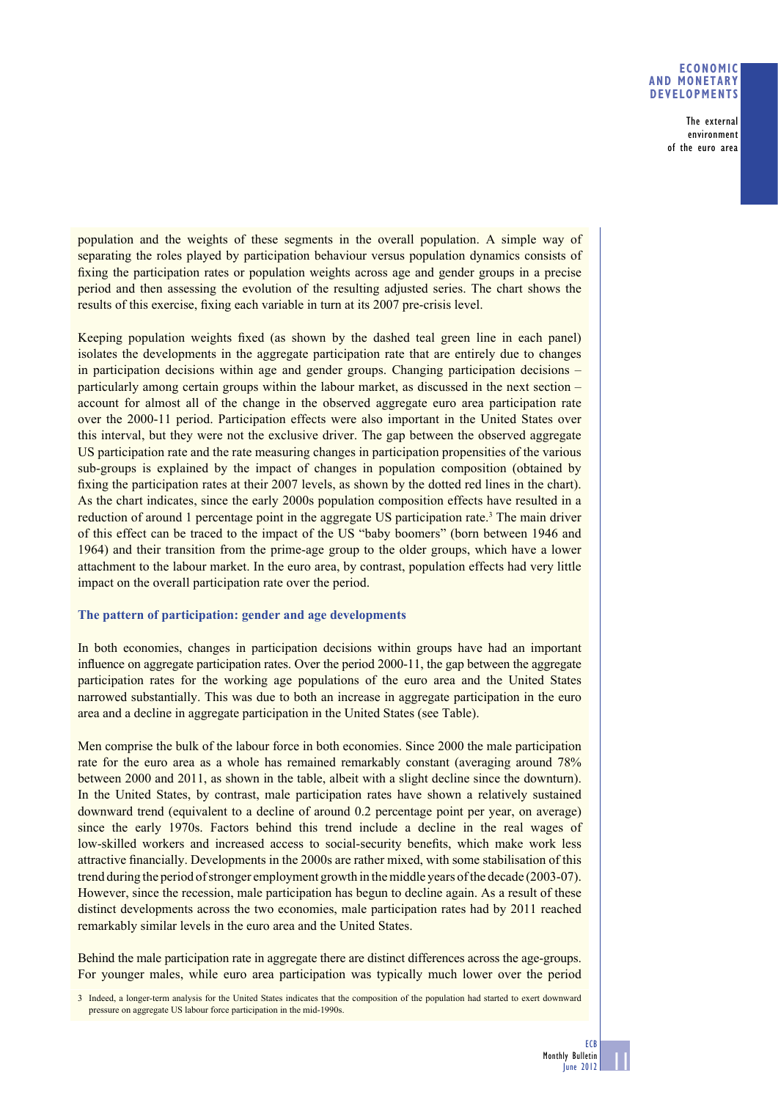## **ECONOMIC AND MONETARY DEVELOPMENTS**

The external environment of the euro area

population and the weights of these segments in the overall population. A simple way of separating the roles played by participation behaviour versus population dynamics consists of fixing the participation rates or population weights across age and gender groups in a precise period and then assessing the evolution of the resulting adjusted series. The chart shows the results of this exercise, fixing each variable in turn at its 2007 pre-crisis level.

Keeping population weights fixed (as shown by the dashed teal green line in each panel) isolates the developments in the aggregate participation rate that are entirely due to changes in participation decisions within age and gender groups. Changing participation decisions – particularly among certain groups within the labour market, as discussed in the next section – account for almost all of the change in the observed aggregate euro area participation rate over the 2000-11 period. Participation effects were also important in the United States over this interval, but they were not the exclusive driver. The gap between the observed aggregate US participation rate and the rate measuring changes in participation propensities of the various sub-groups is explained by the impact of changes in population composition (obtained by fixing the participation rates at their 2007 levels, as shown by the dotted red lines in the chart). As the chart indicates, since the early 2000s population composition effects have resulted in a reduction of around 1 percentage point in the aggregate US participation rate.<sup>3</sup> The main driver of this effect can be traced to the impact of the US "baby boomers" (born between 1946 and 1964) and their transition from the prime-age group to the older groups, which have a lower attachment to the labour market. In the euro area, by contrast, population effects had very little impact on the overall participation rate over the period.

# **The pattern of participation: gender and age developments**

In both economies, changes in participation decisions within groups have had an important influence on aggregate participation rates. Over the period 2000-11, the gap between the aggregate participation rates for the working age populations of the euro area and the United States narrowed substantially. This was due to both an increase in aggregate participation in the euro area and a decline in aggregate participation in the United States (see Table).

Men comprise the bulk of the labour force in both economies. Since 2000 the male participation rate for the euro area as a whole has remained remarkably constant (averaging around 78% between 2000 and 2011, as shown in the table, albeit with a slight decline since the downturn). In the United States, by contrast, male participation rates have shown a relatively sustained downward trend (equivalent to a decline of around 0.2 percentage point per year, on average) since the early 1970s. Factors behind this trend include a decline in the real wages of low-skilled workers and increased access to social-security benefits, which make work less attractive financially. Developments in the 2000s are rather mixed, with some stabilisation of this trend during the period of stronger employment growth in the middle years of the decade (2003-07). However, since the recession, male participation has begun to decline again. As a result of these distinct developments across the two economies, male participation rates had by 2011 reached remarkably similar levels in the euro area and the United States.

Behind the male participation rate in aggregate there are distinct differences across the age-groups. For younger males, while euro area participation was typically much lower over the period

3 Indeed, a longer-term analysis for the United States indicates that the composition of the population had started to exert downward pressure on aggregate US labour force participation in the mid-1990s.

11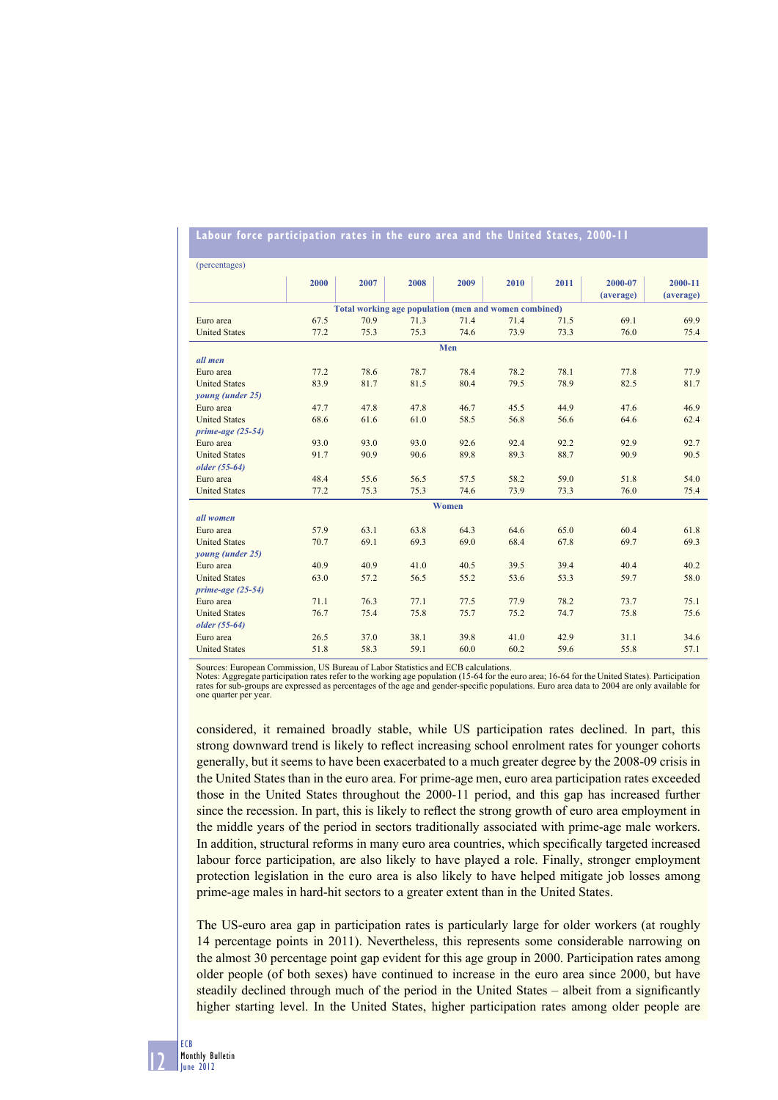| (percentages)                                         |              |              |              |              |              |              |           |              |
|-------------------------------------------------------|--------------|--------------|--------------|--------------|--------------|--------------|-----------|--------------|
|                                                       | 2000         | 2007         | 2008         | 2009         | 2010         | 2011         | 2000-07   | 2000-11      |
|                                                       |              |              |              |              |              |              | (average) | (average)    |
| Total working age population (men and women combined) |              |              |              |              |              |              |           |              |
| Euro area                                             | 67.5         | 70.9         | 71.3         | 71.4         | 71.4         | 71.5         | 69.1      | 69.9         |
| <b>United States</b>                                  | 77.2         | 75.3         | 75.3         | 74.6         | 73.9         | 73.3         | 76.0      | 75.4         |
| Men                                                   |              |              |              |              |              |              |           |              |
| all men                                               |              |              |              |              |              |              |           |              |
| Euro area                                             | 77.2         | 78.6         | 78.7         | 78.4         | 78.2         | 78.1         | 77.8      | 77.9         |
| <b>United States</b>                                  | 83.9         | 81.7         | 81.5         | 80.4         | 79.5         | 78.9         | 82.5      | 81.7         |
| young (under 25)                                      |              |              |              |              |              |              |           |              |
| Euro area                                             | 47.7         | 47.8         | 47.8         | 46.7         | 45.5         | 44.9         | 47.6      | 46.9         |
| <b>United States</b>                                  | 68.6         | 61.6         | 61.0         | 58.5         | 56.8         | 56.6         | 64.6      | 62.4         |
| prime-age $(25-54)$                                   |              |              |              |              |              |              |           |              |
| Euro area                                             | 93.0         | 93.0         | 93.0         | 92.6         | 92.4         | 92.2         | 92.9      | 92.7         |
| <b>United States</b>                                  | 91.7         | 90.9         | 90.6         | 89.8         | 89.3         | 88.7         | 90.9      | 90.5         |
| older (55-64)                                         |              |              |              |              |              |              |           |              |
| Euro area                                             | 48.4         | 55.6         | 56.5         | 57.5         | 58.2         | 59.0         | 51.8      | 54.0         |
| <b>United States</b>                                  | 77.2         | 75.3         | 75.3         | 74.6         | 73.9         | 73.3         | 76.0      | 75.4         |
| Women                                                 |              |              |              |              |              |              |           |              |
| all women                                             |              |              |              |              |              |              |           |              |
| Euro area                                             | 57.9         | 63.1         | 63.8         | 64.3         | 64.6         | 65.0         | 60.4      | 61.8         |
| <b>United States</b>                                  | 70.7         | 69.1         | 69.3         | 69.0         | 68.4         | 67.8         | 69.7      | 69.3         |
| young (under 25)                                      |              |              |              |              |              |              | 40.4      |              |
| Euro area<br><b>United States</b>                     | 40.9<br>63.0 | 40.9<br>57.2 | 41.0<br>56.5 | 40.5<br>55.2 | 39.5<br>53.6 | 39.4<br>53.3 | 59.7      | 40.2<br>58.0 |
| prime-age $(25-54)$                                   |              |              |              |              |              |              |           |              |
| Euro area                                             | 71.1         | 76.3         | 77.1         | 77.5         | 77.9         | 78.2         | 73.7      | 75.1         |
| <b>United States</b>                                  | 76.7         | 75.4         | 75.8         | 75.7         | 75.2         | 74.7         | 75.8      | 75.6         |
| older (55-64)                                         |              |              |              |              |              |              |           |              |
| Euro area                                             | 26.5         | 37.0         | 38.1         | 39.8         | 41.0         | 42.9         | 31.1      | 34.6         |
| <b>United States</b>                                  | 51.8         | 58.3         | 59.1         | 60.0         | 60.2         | 59.6         | 55.8      | 57.1         |
|                                                       |              |              |              |              |              |              |           |              |

## **Labour force participation rates in the euro area and the United States, 2000-11**

Sources: European Commission, US Bureau of Labor Statistics and ECB calculations.

Notes: Aggregate participation rates refer to the working age population (15-64 for the euro area; 16-64 for the United States). Participation<br>rates for sub-groups are expressed as percentages of the age and gender-specifi one quarter per year.

considered, it remained broadly stable, while US participation rates declined. In part, this strong downward trend is likely to reflect increasing school enrolment rates for younger cohorts generally, but it seems to have been exacerbated to a much greater degree by the 2008-09 crisis in the United States than in the euro area. For prime-age men, euro area participation rates exceeded those in the United States throughout the 2000-11 period, and this gap has increased further since the recession. In part, this is likely to reflect the strong growth of euro area employment in the middle years of the period in sectors traditionally associated with prime-age male workers. In addition, structural reforms in many euro area countries, which specifically targeted increased labour force participation, are also likely to have played a role. Finally, stronger employment protection legislation in the euro area is also likely to have helped mitigate job losses among prime-age males in hard-hit sectors to a greater extent than in the United States.

The US-euro area gap in participation rates is particularly large for older workers (at roughly 14 percentage points in 2011). Nevertheless, this represents some considerable narrowing on the almost 30 percentage point gap evident for this age group in 2000. Participation rates among older people (of both sexes) have continued to increase in the euro area since 2000, but have steadily declined through much of the period in the United States – albeit from a significantly higher starting level. In the United States, higher participation rates among older people are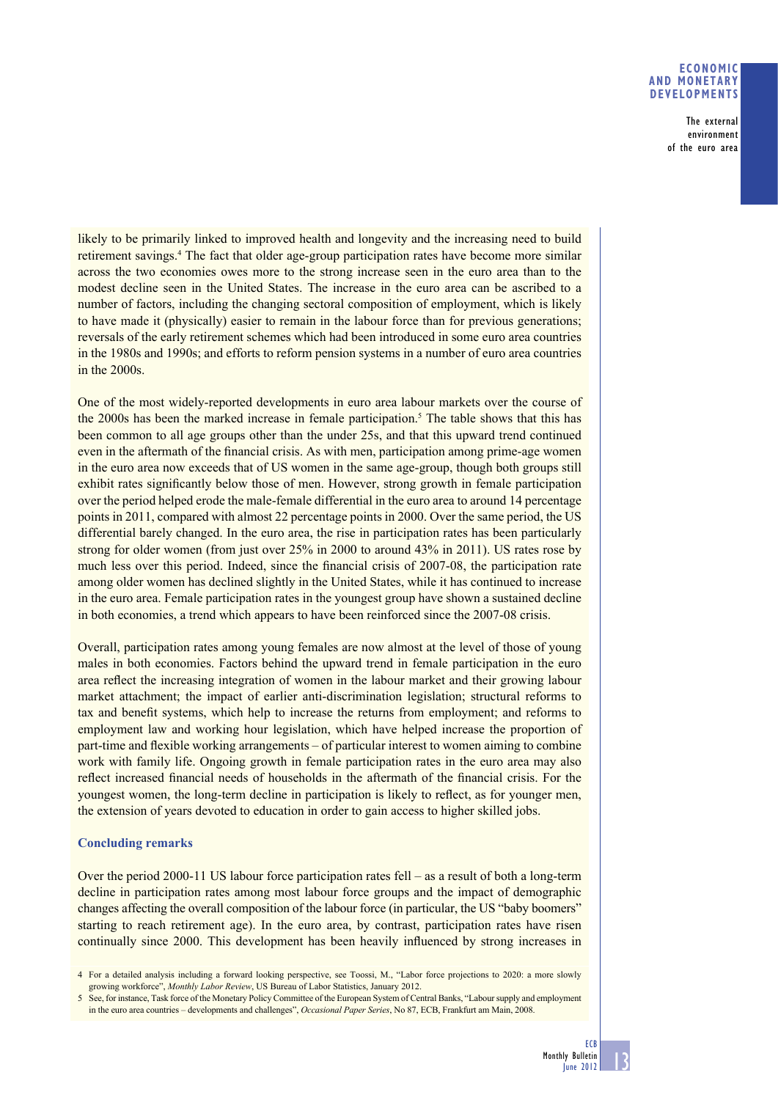### **ECONOMIC AND MONETARY DEVELOPMENTS**

The external environment of the euro area

likely to be primarily linked to improved health and longevity and the increasing need to build retirement savings.<sup>4</sup> The fact that older age-group participation rates have become more similar across the two economies owes more to the strong increase seen in the euro area than to the modest decline seen in the United States. The increase in the euro area can be ascribed to a number of factors, including the changing sectoral composition of employment, which is likely to have made it (physically) easier to remain in the labour force than for previous generations; reversals of the early retirement schemes which had been introduced in some euro area countries in the 1980s and 1990s; and efforts to reform pension systems in a number of euro area countries in the 2000s.

One of the most widely-reported developments in euro area labour markets over the course of the 2000s has been the marked increase in female participation.<sup>5</sup> The table shows that this has been common to all age groups other than the under 25s, and that this upward trend continued even in the aftermath of the financial crisis. As with men, participation among prime-age women in the euro area now exceeds that of US women in the same age-group, though both groups still exhibit rates significantly below those of men. However, strong growth in female participation over the period helped erode the male-female differential in the euro area to around 14 percentage points in 2011, compared with almost 22 percentage points in 2000. Over the same period, the US differential barely changed. In the euro area, the rise in participation rates has been particularly strong for older women (from just over 25% in 2000 to around 43% in 2011). US rates rose by much less over this period. Indeed, since the financial crisis of 2007-08, the participation rate among older women has declined slightly in the United States, while it has continued to increase in the euro area. Female participation rates in the youngest group have shown a sustained decline in both economies, a trend which appears to have been reinforced since the 2007-08 crisis.

Overall, participation rates among young females are now almost at the level of those of young males in both economies. Factors behind the upward trend in female participation in the euro area reflect the increasing integration of women in the labour market and their growing labour market attachment; the impact of earlier anti-discrimination legislation; structural reforms to tax and benefit systems, which help to increase the returns from employment; and reforms to employment law and working hour legislation, which have helped increase the proportion of part-time and flexible working arrangements – of particular interest to women aiming to combine work with family life. Ongoing growth in female participation rates in the euro area may also reflect increased financial needs of households in the aftermath of the financial crisis. For the youngest women, the long-term decline in participation is likely to reflect, as for younger men, the extension of years devoted to education in order to gain access to higher skilled jobs.

# **Concluding remarks**

Over the period 2000-11 US labour force participation rates fell – as a result of both a long-term decline in participation rates among most labour force groups and the impact of demographic changes affecting the overall composition of the labour force (in particular, the US "baby boomers" starting to reach retirement age). In the euro area, by contrast, participation rates have risen continually since 2000. This development has been heavily influenced by strong increases in

13

<sup>4</sup> For a detailed analysis including a forward looking perspective, see Toossi, M., "Labor force projections to 2020: a more slowly growing workforce", *Monthly Labor Review*, US Bureau of Labor Statistics, January 2012.

<sup>5</sup> See, for instance, Task force of the Monetary Policy Committee of the European System of Central Banks, "Labour supply and employment in the euro area countries – developments and challenges", *Occasional Paper Series*, No 87, ECB, Frankfurt am Main, 2008.